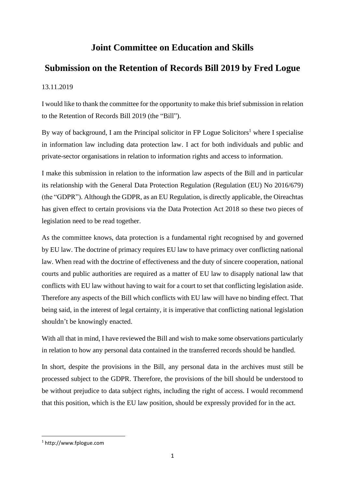## **Joint Committee on Education and Skills**

## **Submission on the Retention of Records Bill 2019 by Fred Logue**

## 13.11.2019

I would like to thank the committee for the opportunity to make this brief submission in relation to the Retention of Records Bill 2019 (the "Bill").

By way of background, I am the Principal solicitor in FP Logue Solicitors<sup>1</sup> where I specialise in information law including data protection law. I act for both individuals and public and private-sector organisations in relation to information rights and access to information.

I make this submission in relation to the information law aspects of the Bill and in particular its relationship with the General Data Protection Regulation (Regulation (EU) No 2016/679) (the "GDPR"). Although the GDPR, as an EU Regulation, is directly applicable, the Oireachtas has given effect to certain provisions via the Data Protection Act 2018 so these two pieces of legislation need to be read together.

As the committee knows, data protection is a fundamental right recognised by and governed by EU law. The doctrine of primacy requires EU law to have primacy over conflicting national law. When read with the doctrine of effectiveness and the duty of sincere cooperation, national courts and public authorities are required as a matter of EU law to disapply national law that conflicts with EU law without having to wait for a court to set that conflicting legislation aside. Therefore any aspects of the Bill which conflicts with EU law will have no binding effect. That being said, in the interest of legal certainty, it is imperative that conflicting national legislation shouldn't be knowingly enacted.

With all that in mind, I have reviewed the Bill and wish to make some observations particularly in relation to how any personal data contained in the transferred records should be handled.

In short, despite the provisions in the Bill, any personal data in the archives must still be processed subject to the GDPR. Therefore, the provisions of the bill should be understood to be without prejudice to data subject rights, including the right of access. I would recommend that this position, which is the EU law position, should be expressly provided for in the act.

<sup>1</sup> http://www.fplogue.com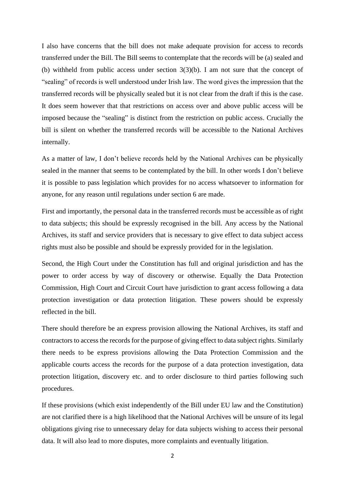I also have concerns that the bill does not make adequate provision for access to records transferred under the Bill. The Bill seems to contemplate that the records will be (a) sealed and (b) withheld from public access under section 3(3)(b). I am not sure that the concept of "sealing" of records is well understood under Irish law. The word gives the impression that the transferred records will be physically sealed but it is not clear from the draft if this is the case. It does seem however that that restrictions on access over and above public access will be imposed because the "sealing" is distinct from the restriction on public access. Crucially the bill is silent on whether the transferred records will be accessible to the National Archives internally.

As a matter of law, I don't believe records held by the National Archives can be physically sealed in the manner that seems to be contemplated by the bill. In other words I don't believe it is possible to pass legislation which provides for no access whatsoever to information for anyone, for any reason until regulations under section 6 are made.

First and importantly, the personal data in the transferred records must be accessible as of right to data subjects; this should be expressly recognised in the bill. Any access by the National Archives, its staff and service providers that is necessary to give effect to data subject access rights must also be possible and should be expressly provided for in the legislation.

Second, the High Court under the Constitution has full and original jurisdiction and has the power to order access by way of discovery or otherwise. Equally the Data Protection Commission, High Court and Circuit Court have jurisdiction to grant access following a data protection investigation or data protection litigation. These powers should be expressly reflected in the bill.

There should therefore be an express provision allowing the National Archives, its staff and contractors to access the records for the purpose of giving effect to data subject rights. Similarly there needs to be express provisions allowing the Data Protection Commission and the applicable courts access the records for the purpose of a data protection investigation, data protection litigation, discovery etc. and to order disclosure to third parties following such procedures.

If these provisions (which exist independently of the Bill under EU law and the Constitution) are not clarified there is a high likelihood that the National Archives will be unsure of its legal obligations giving rise to unnecessary delay for data subjects wishing to access their personal data. It will also lead to more disputes, more complaints and eventually litigation.